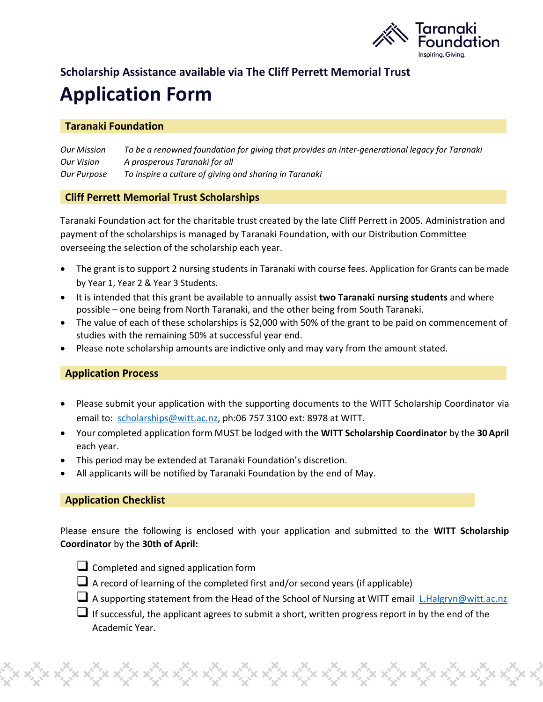

# **Scholarship Assistance available via The Cliff Perrett Memorial Trust Application Form**

## **Taranaki Foundation**

*Our Mission To be a renowned foundation for giving that provides an inter-generational legacy for Taranaki Our Vision A prosperous Taranaki for all Our Purpose To inspire a culture of giving and sharing in Taranaki*

### **Cliff Perrett Memorial Trust Scholarships**

Taranaki Foundation act for the charitable trust created by the late Cliff Perrett in 2005. Administration and payment of the scholarships is managed by Taranaki Foundation, with our Distribution Committee overseeing the selection of the scholarship each year.

- The grant is to support 2 nursing students in Taranaki with course fees. Application for Grants can be made by Year 1, Year 2 & Year 3 Students.
- It is intended that this grant be available to annually assist **two Taranaki nursing students** and where possible – one being from North Taranaki, and the other being from South Taranaki.
- The value of each of these scholarships is \$2,000 with 50% of the grant to be paid on commencement of studies with the remaining 50% at successful year end.
- Please note scholarship amounts are indictive only and may vary from the amount stated.

# **Application Process**

- Please submit your application with the supporting documents to the WITT Scholarship Coordinator via email to: [scholarships@witt.ac.nz,](mailto:scholarships@witt.ac.nz) ph:06 757 3100 ext: 8978 at WITT.
- Your completed application form MUST be lodged with the **WITT Scholarship Coordinator** by the **30April** each year.
- This period may be extended at Taranaki Foundation's discretion.
- All applicants will be notified by Taranaki Foundation by the end of May.

# **Application Checklist**

Please ensure the following is enclosed with your application and submitted to the **WITT Scholarship Coordinator** by the **30th of April:** 



- ❑ Completed and signed application form
- A record of learning of the completed first and/or second years (if applicable)

- A supporting statement from the Head of the School of Nursing at WITT email [L.Halgryn@witt.ac.nz](mailto:L.Halgryn@witt.ac.nz)
- ❑ If successful, the applicant agrees to submit a short, written progress report in by the end of the Academic Year.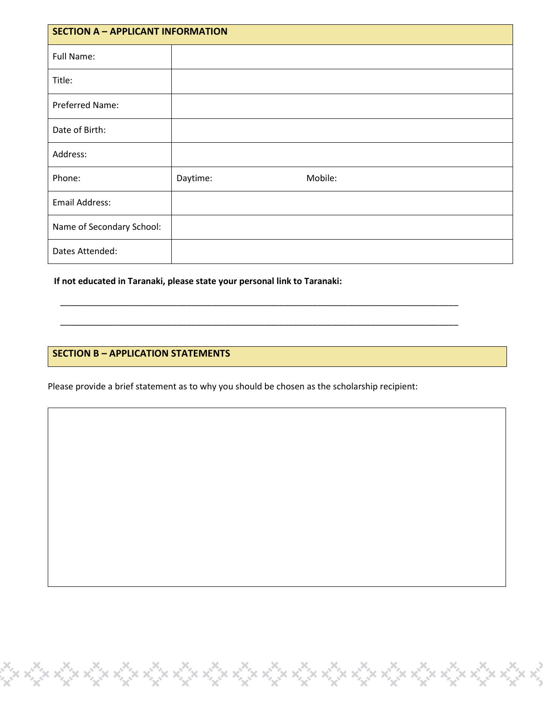| <b>SECTION A - APPLICANT INFORMATION</b> |          |         |  |  |
|------------------------------------------|----------|---------|--|--|
| Full Name:                               |          |         |  |  |
| Title:                                   |          |         |  |  |
| Preferred Name:                          |          |         |  |  |
| Date of Birth:                           |          |         |  |  |
| Address:                                 |          |         |  |  |
| Phone:                                   | Daytime: | Mobile: |  |  |
| <b>Email Address:</b>                    |          |         |  |  |
| Name of Secondary School:                |          |         |  |  |
| Dates Attended:                          |          |         |  |  |

**If not educated in Taranaki, please state your personal link to Taranaki:**

### **SECTION B – APPLICATION STATEMENTS**

Please provide a brief statement as to why you should be chosen as the scholarship recipient:

Que de Guerra (que de Guerra de Guerra de Guerra de Villa) e en 1930.<br>Tomas de Guerra de Guerra de Guerra de Guerra de Guerra de Guerra de Guerra de Guerra de Guerra de Guerra de G

\_\_\_\_\_\_\_\_\_\_\_\_\_\_\_\_\_\_\_\_\_\_\_\_\_\_\_\_\_\_\_\_\_\_\_\_\_\_\_\_\_\_\_\_\_\_\_\_\_\_\_\_\_\_\_\_\_\_\_\_\_\_\_\_\_\_\_\_\_\_\_\_\_\_\_\_\_\_\_\_\_\_

\_\_\_\_\_\_\_\_\_\_\_\_\_\_\_\_\_\_\_\_\_\_\_\_\_\_\_\_\_\_\_\_\_\_\_\_\_\_\_\_\_\_\_\_\_\_\_\_\_\_\_\_\_\_\_\_\_\_\_\_\_\_\_\_\_\_\_\_\_\_\_\_\_\_\_\_\_\_\_\_\_\_